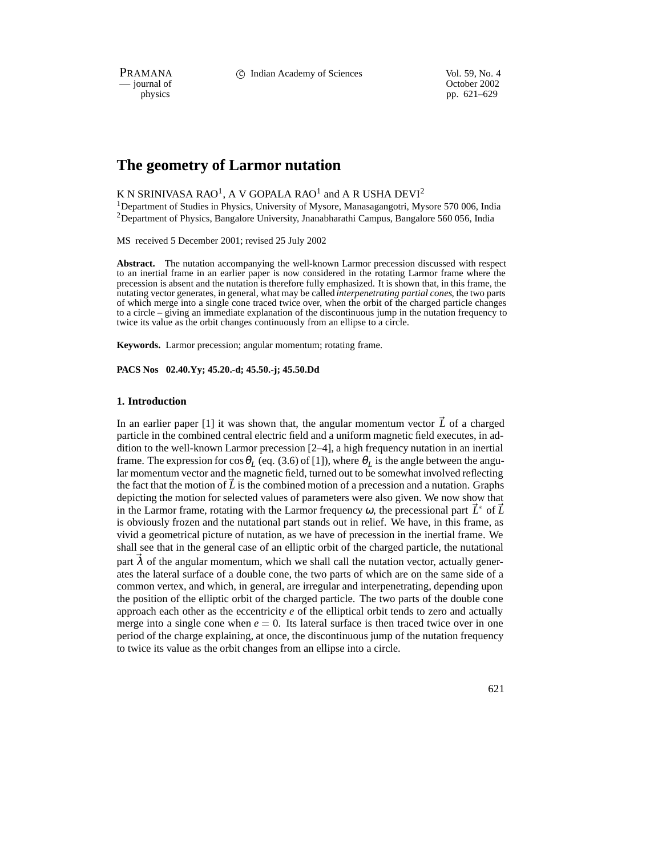PRAMANA 
compared to Compared Compared Compared Compared Compared Compared Vol. 59, No. 4<br>
compared Compared Compared Compared Compared Compared Compared Compared Compared Compared Compared Compared Compared Compared Compa

physics<br>
physics<br>
pp. 621–629 pp. 621–629

# **The geometry of Larmor nutation**

# K N SRINIVASA RAO<sup>1</sup>, A V GOPALA RAO<sup>1</sup> and A R USHA DEVI<sup>2</sup>

<sup>1</sup>Department of Studies in Physics, University of Mysore, Manasagangotri, Mysore 570 006, India 2Department of Physics, Bangalore University, Jnanabharathi Campus, Bangalore 560 056, India

MS received 5 December 2001; revised 25 July 2002

**Abstract.** The nutation accompanying the well-known Larmor precession discussed with respect to an inertial frame in an earlier paper is now considered in the rotating Larmor frame where the precession is absent and the nutation is therefore fully emphasized. It is shown that, in this frame, the nutating vector generates, in general, what may be called *interpenetrating partial cones*, the two parts of which merge into a single cone traced twice over, when the orbit of the charged particle changes to a circle – giving an immediate explanation of the discontinuous jump in the nutation frequency to twice its value as the orbit changes continuously from an ellipse to a circle.

**Keywords.** Larmor precession; angular momentum; rotating frame.

**PACS Nos 02.40.Yy; 45.20.-d; 45.50.-j; 45.50.Dd**

### **1. Introduction**

In an earlier paper [1] it was shown that, the angular momentum vector  $\vec{L}$  of a charged particle in the combined central electric field and a uniform magnetic field executes, in addition to the well-known Larmor precession [2–4], a high frequency nutation in an inertial frame. The expression for  $\cos\theta_L$  (eq. (3.6) of [1]), where  $\theta_L$  is the angle between the angular momentum vector and the magnetic field, turned out to be somewhat involved reflecting the fact that the motion of  $\tilde{L}$  is the combined motion of a precession and a nutation. Graphs depicting the motion for selected values of parameters were also given. We now show that in the Larmor frame, rotating with the Larmor frequency  $\omega$ , the precessional part  $\vec{L}^*$  of  $\vec{L}$ is obviously frozen and the nutational part stands out in relief. We have, in this frame, as vivid a geometrical picture of nutation, as we have of precession in the inertial frame. We shall see that in the general case of an elliptic orbit of the charged particle, the nutational part  $\lambda$  of the angular momentum, which we shall call the nutation vector, actually generates the lateral surface of a double cone, the two parts of which are on the same side of a common vertex, and which, in general, are irregular and interpenetrating, depending upon the position of the elliptic orbit of the charged particle. The two parts of the double cone approach each other as the eccentricity *e* of the elliptical orbit tends to zero and actually merge into a single cone when  $e = 0$ . Its lateral surface is then traced twice over in one period of the charge explaining, at once, the discontinuous jump of the nutation frequency to twice its value as the orbit changes from an ellipse into a circle.

621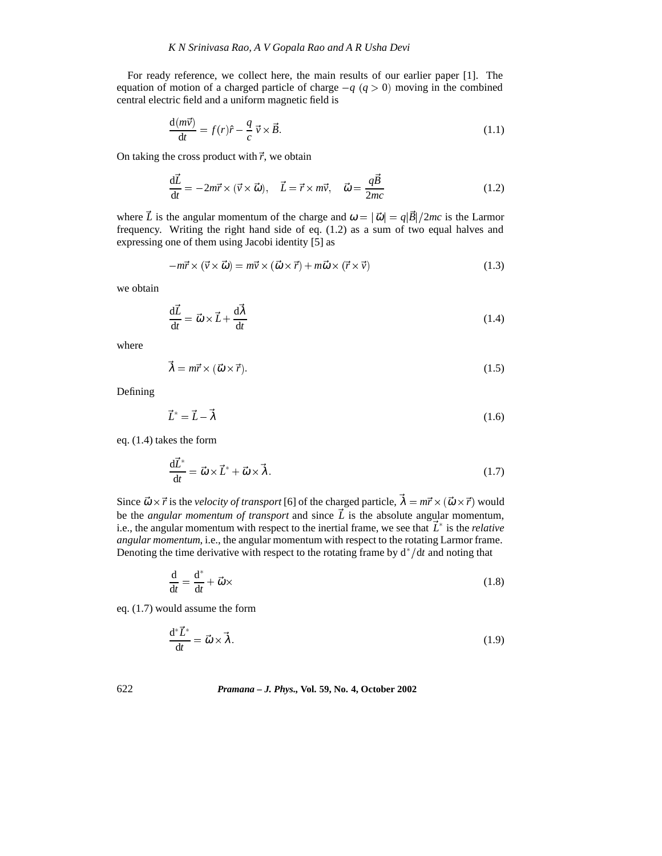For ready reference, we collect here, the main results of our earlier paper [1]. The equation of motion of a charged particle of charge  $-q$  ( $q > 0$ ) moving in the combined central electric field and a uniform magnetic field is

$$
\frac{\mathrm{d}(m\vec{v})}{\mathrm{d}t} = f(r)\hat{r} - \frac{q}{c}\vec{v} \times \vec{B}.\tag{1.1}
$$

On taking the cross product with  $\vec{r}$ , we obtain

$$
\frac{d\vec{L}}{dt} = -2m\vec{r} \times (\vec{v} \times \vec{\omega}), \quad \vec{L} = \vec{r} \times m\vec{v}, \quad \vec{\omega} = \frac{q\vec{B}}{2mc}
$$
(1.2)

where  $\vec{L}$  is the angular momentum of the charge and  $\omega = |\vec{\omega}| = q|\vec{B}|/2mc$  is the Larmor frequency. Writing the right hand side of eq. (1.2) as a sum of two equal halves and expressing one of them using Jacobi identity [5] as

$$
-m\vec{r} \times (\vec{v} \times \vec{\omega}) = m\vec{v} \times (\vec{\omega} \times \vec{r}) + m\vec{\omega} \times (\vec{r} \times \vec{v})
$$
(1.3)

we obtain

$$
\frac{\mathrm{d}\vec{L}}{\mathrm{d}t} = \vec{\omega} \times \vec{L} + \frac{\mathrm{d}\vec{\lambda}}{\mathrm{d}t} \tag{1.4}
$$

where

$$
\vec{\lambda} = m\vec{r} \times (\vec{\omega} \times \vec{r}). \tag{1.5}
$$

Defining

$$
\vec{L}^* = \vec{L} - \vec{\lambda} \tag{1.6}
$$

eq. (1.4) takes the form

$$
\frac{\mathrm{d}\vec{L}^*}{\mathrm{d}t} = \vec{\omega} \times \vec{L}^* + \vec{\omega} \times \vec{\lambda}.\tag{1.7}
$$

Since  $\vec{\omega} \times \vec{r}$  is the *velocity of transport* [6] of the charged particle,  $\lambda = m\vec{r} \times (\vec{\omega} \times \vec{r})$  would be the *angular momentum of transport* and since  $\vec{L}$  is the absolute angular momentum, i.e., the angular momentum with respect to the inertial frame, we see that  $\dot{L}^*$  is the *relative angular momentum*, i.e., the angular momentum with respect to the rotating Larmor frame. Denoting the time derivative with respect to the rotating frame by  $d^*/dt$  and noting that

$$
\frac{\mathrm{d}}{\mathrm{d}t} = \frac{\mathrm{d}^*}{\mathrm{d}t} + \vec{\omega} \times \tag{1.8}
$$

eq. (1.7) would assume the form

$$
\frac{\mathrm{d}^*\vec{L}^*}{\mathrm{d}t} = \vec{\omega} \times \vec{\lambda}.\tag{1.9}
$$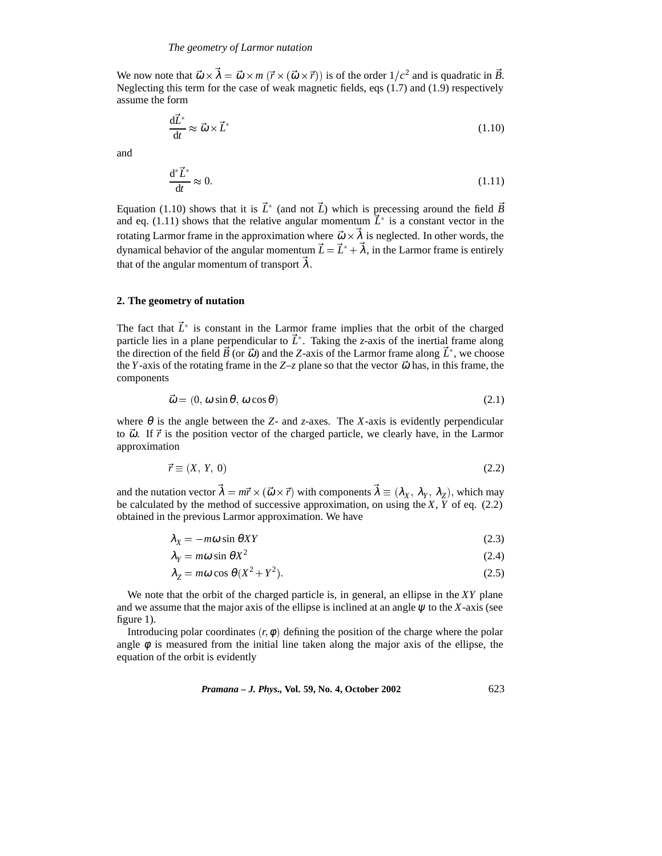We now note that  $\vec{\omega} \times \vec{\lambda} = \vec{\omega} \times m (\vec{r} \times (\vec{\omega} \times \vec{r}))$  is of the order  $1/c^2$  and is quadratic in  $\vec{B}$ . Neglecting this term for the case of weak magnetic fields, eqs (1.7) and (1.9) respectively assume the form

$$
\frac{\mathrm{d}\vec{L}^*}{\mathrm{d}t} \approx \vec{\omega} \times \vec{L}^* \tag{1.10}
$$

and

$$
\frac{\mathrm{d}^*\bar{L}^*}{\mathrm{d}t} \approx 0. \tag{1.11}
$$

Equation (1.10) shows that it is  $\bar{L}^*$  (and not  $\bar{L}$ ) which is precessing around the field  $\bar{B}$ and eq.  $(1.11)$  shows that the relative angular momentum  $\dot{L}^*$  is a constant vector in the rotating Larmor frame in the approximation where  $\vec{\omega} \times \lambda$  is neglected. In other words, the dynamical behavior of the angular momentum  $\dot{L} = \dot{L}^* + \lambda$ , in the Larmor frame is entirely that of the angular momentum of transport  $\lambda$ .

### **2. The geometry of nutation**

The fact that  $\vec{L}^*$  is constant in the Larmor frame implies that the orbit of the charged particle lies in a plane perpendicular to  $\dot{L}^*$ . Taking the *z*-axis of the inertial frame along the direction of the field  $\vec{B}$  (or  $\vec{\omega}$ ) and the *Z*-axis of the Larmor frame along  $\vec{L}^*$ , we choose the *Y*-axis of the rotating frame in the *Z*–*z* plane so that the vector  $\vec{\omega}$  has, in this frame, the components

$$
\vec{\omega} = (0, \omega \sin \theta, \omega \cos \theta) \tag{2.1}
$$

where  $\theta$  is the angle between the *Z*- and *z*-axes. The *X*-axis is evidently perpendicular to  $\vec{\omega}$ . If  $\vec{r}$  is the position vector of the charged particle, we clearly have, in the Larmor approximation

$$
\vec{r} \equiv (X, Y, 0) \tag{2.2}
$$

and the nutation vector  $\lambda = m\vec{r} \times (\vec{\omega} \times \vec{r})$  with components  $\lambda \equiv (\lambda_X, \lambda_Y, \lambda_Z)$ , which may be calculated by the method of successive approximation, on using the *X*,  $\overline{Y}$  of eq. (2.2) obtained in the previous Larmor approximation. We have

$$
\lambda_X = -m\omega \sin \theta XY \tag{2.3}
$$

$$
\lambda_Y = m\omega \sin \theta X^2 \tag{2.4}
$$

$$
\lambda_Z = m\omega \cos \theta (X^2 + Y^2). \tag{2.5}
$$

We note that the orbit of the charged particle is, in general, an ellipse in the *XY* plane and we assume that the major axis of the ellipse is inclined at an angle  $\psi$  to the *X*-axis (see figure 1).

Introducing polar coordinates  $(r, \phi)$  defining the position of the charge where the polar angle  $\phi$  is measured from the initial line taken along the major axis of the ellipse, the equation of the orbit is evidently

*Pramana – J. Phys.,* **Vol. 59, No. 4, October 2002** 623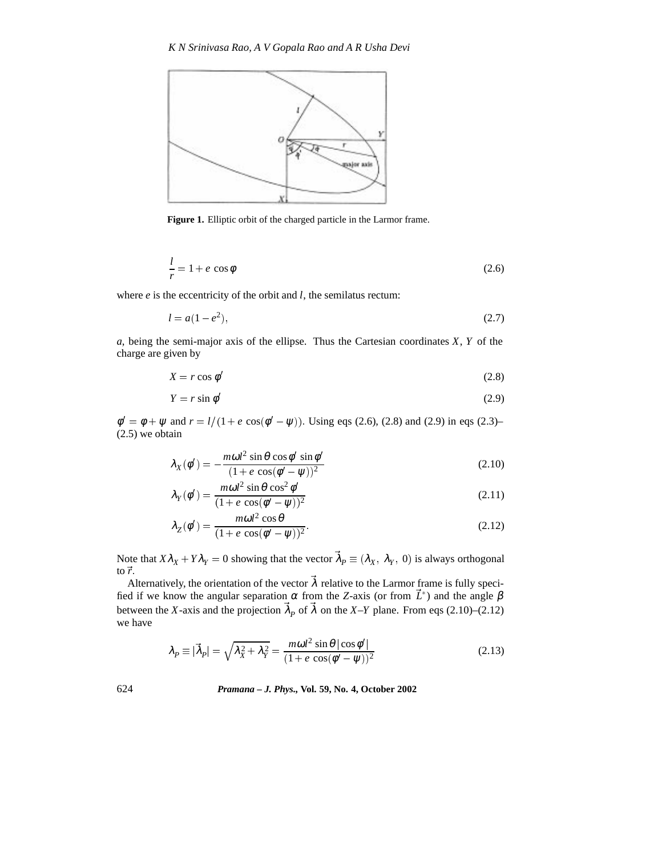

**Figure 1.** Elliptic orbit of the charged particle in the Larmor frame.

$$
\frac{l}{r} = 1 + e \cos \phi \tag{2.6}
$$

where *e* is the eccentricity of the orbit and *l*, the semilatus rectum:

$$
l = a(1 - e^2),
$$
\n(2.7)

*a*, being the semi-major axis of the ellipse. Thus the Cartesian coordinates *X*, *Y* of the charge are given by

$$
X = r \cos \phi' \tag{2.8}
$$

$$
Y = r \sin \phi' \tag{2.9}
$$

 $\phi' = \phi + \psi$  and  $r = l/(1 + e \cos(\phi' - \psi))$ . Using eqs (2.6), (2.8) and (2.9) in eqs (2.3)– (2.5) we obtain

$$
\lambda_X(\phi') = -\frac{m\omega l^2 \sin \theta \cos \phi' \sin \phi'}{(1 + e \cos(\phi' - \psi))^2}
$$
\n(2.10)

$$
\lambda_Y(\phi') = \frac{m\omega l^2 \sin \theta \cos^2 \phi'}{(1 + e \cos(\phi' - \psi))^2}
$$
\n(2.11)

$$
\lambda_Z(\phi') = \frac{m\omega l^2 \cos \theta}{(1 + e \cos(\phi' - \psi))^2}.
$$
\n(2.12)

Note that  $X\lambda_X + Y\lambda_Y = 0$  showing that the vector  $\lambda_P \equiv (\lambda_X, \lambda_Y, 0)$  is always orthogonal to  $\vec{r}$ .

Alternatively, the orientation of the vector  $\lambda$  relative to the Larmor frame is fully specified if we know the angular separation  $\alpha$  from the *Z*-axis (or from  $\bar{L}^*$ ) and the angle  $\beta$ between the *X*-axis and the projection  $\lambda_p$  of  $\lambda$  on the *X*-*Y* plane. From eqs (2.10)–(2.12) we have

$$
\lambda_P \equiv |\vec{\lambda}_P| = \sqrt{\lambda_X^2 + \lambda_Y^2} = \frac{m\omega l^2 \sin \theta |\cos \phi'|}{(1 + e \cos(\phi' - \psi))^2}
$$
(2.13)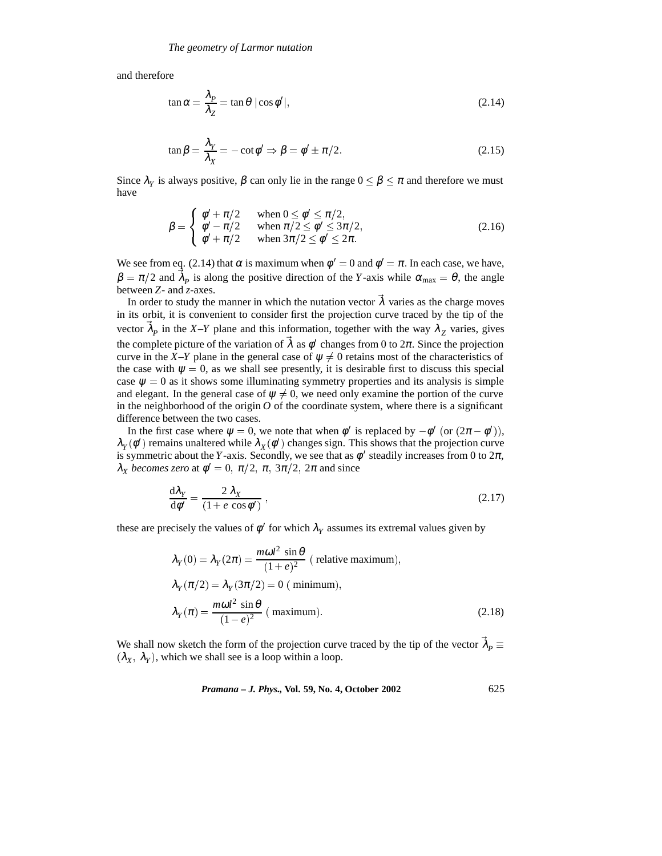and therefore

$$
\tan \alpha = \frac{\lambda_P}{\lambda_Z} = \tan \theta \, |\cos \phi'|,\tag{2.14}
$$

$$
\tan \beta = \frac{\lambda_Y}{\lambda_X} = -\cot \phi' \Rightarrow \beta = \phi' \pm \pi/2. \tag{2.15}
$$

Since  $\lambda_Y$  is always positive,  $\beta$  can only lie in the range  $0 \le \beta \le \pi$  and therefore we must have

$$
\beta = \begin{cases}\n\phi' + \pi/2 & \text{when } 0 \le \phi' \le \pi/2, \\
\phi' - \pi/2 & \text{when } \pi/2 \le \phi' \le 3\pi/2, \\
\phi' + \pi/2 & \text{when } 3\pi/2 \le \phi' \le 2\pi.\n\end{cases}
$$
\n(2.16)

We see from eq. (2.14) that  $\alpha$  is maximum when  $\phi' = 0$  and  $\phi' = \pi$ . In each case, we have,  $\beta = \pi/2$  and  $\lambda_p$  is along the positive direction of the *Y*-axis while  $\alpha_{\text{max}} = \theta$ , the angle between *Z*- and *z*-axes.

In order to study the manner in which the nutation vector  $\lambda$  varies as the charge moves in its orbit, it is convenient to consider first the projection curve traced by the tip of the vector  $\lambda_p$  in the *X–Y* plane and this information, together with the way  $\lambda_Z$  varies, gives the complete picture of the variation of  $\lambda$  as  $\phi'$  changes from 0 to  $2\pi$ . Since the projection curve in the *X*–*Y* plane in the general case of  $\psi \neq 0$  retains most of the characteristics of the case with  $\psi = 0$ , as we shall see presently, it is desirable first to discuss this special case  $\psi = 0$  as it shows some illuminating symmetry properties and its analysis is simple and elegant. In the general case of  $\psi \neq 0$ , we need only examine the portion of the curve in the neighborhood of the origin  $O$  of the coordinate system, where there is a significant difference between the two cases.

In the first case where  $\psi = 0$ , we note that when  $\phi'$  is replaced by  $-\phi'$  (or  $(2\pi - \phi')$ ),  $\lambda_Y(\phi')$  remains unaltered while  $\lambda_X(\phi')$  changes sign. This shows that the projection curve is symmetric about the *Y*-axis. Secondly, we see that as  $\phi'$  steadily increases from 0 to  $2\pi$ ,  $\lambda_X$  *becomes zero* at  $\phi' = 0$ ,  $\pi/2$ ,  $\pi$ ,  $3\pi/2$ ,  $2\pi$  and since

$$
\frac{d\lambda_Y}{d\phi'} = \frac{2\lambda_X}{(1 + e\cos\phi')} \,,\tag{2.17}
$$

these are precisely the values of  $\phi'$  for which  $\lambda_Y$  assumes its extremal values given by

$$
\lambda_Y(0) = \lambda_Y(2\pi) = \frac{m\omega l^2 \sin \theta}{(1+e)^2} \text{ (relative maximum)},
$$
  

$$
\lambda_Y(\pi/2) = \lambda_Y(3\pi/2) = 0 \text{ (minimum)},
$$
  

$$
\lambda_Y(\pi) = \frac{m\omega l^2 \sin \theta}{(1-e)^2} \text{ (maximum)}.
$$
 (2.18)

We shall now sketch the form of the projection curve traced by the tip of the vector  $\lambda_P \equiv$  $(\lambda_X, \lambda_Y)$ , which we shall see is a loop within a loop.

*Pramana – J. Phys.,* **Vol. 59, No. 4, October 2002** 625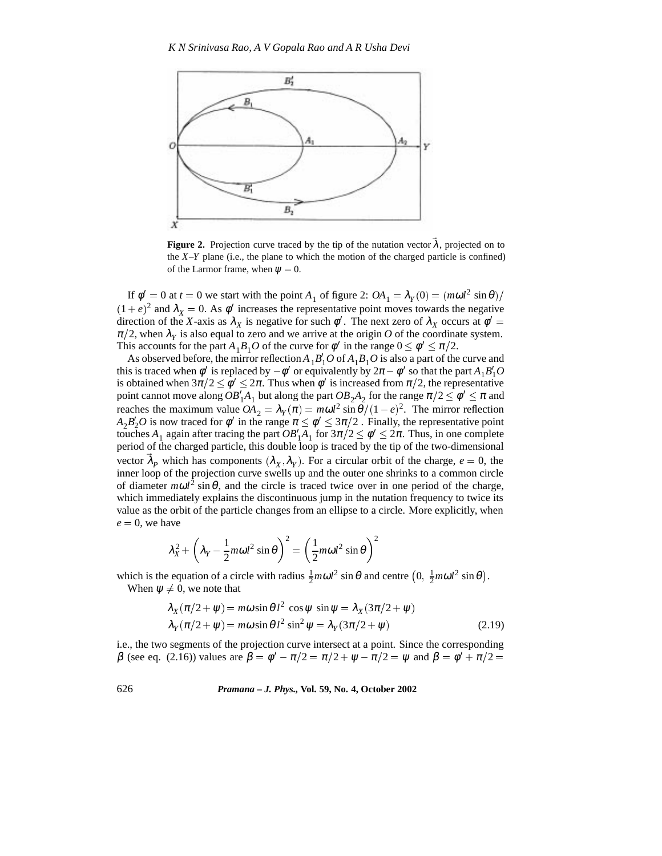

**Figure 2.** Projection curve traced by the tip of the nutation vector  $\lambda$ , projected on to the  $X-Y$  plane (i.e., the plane to which the motion of the charged particle is confined) of the Larmor frame, when  $\psi = 0$ .

If  $\phi' = 0$  at  $t = 0$  we start with the point  $A_1$  of figure 2:  $OA_1 = \lambda_Y(0) = (m\omega l^2 \sin \theta)/$  $(1 + e)^2$  and  $\lambda_X = 0$ . As  $\phi'$  increases the representative point moves towards the negative direction of the *X*-axis as  $\lambda_X$  is negative for such  $\phi'$ . The next zero of  $\lambda_X$  occurs at  $\phi' =$  $\pi/2$ , when  $\lambda<sub>y</sub>$  is also equal to zero and we arrive at the origin *O* of the coordinate system. This accounts for the part  $A_1B_1O$  of the curve for  $\phi'$  in the range  $0 \le \phi' \le \pi/2$ .

As observed before, the mirror reflection  $A_1B_1'O$  of  $A_1B_1O$  is also a part of the curve and this is traced when  $\phi'$  is replaced by  $-\phi'$  or equivalently by  $2\pi - \phi'$  so that the part  $A_1B'_1O$ is obtained when  $3\pi/2 \le \phi' \le 2\pi$ . Thus when  $\phi'$  is increased from  $\pi/2$ , the representative point cannot move along  $OB'_1A_1$  but along the part  $OB_2A_2$  for the range  $\pi/2 \le \phi' \le \pi$  and reaches the maximum value  $OA_2 = \lambda_Y(\pi) = m\omega l^2 \sin{\theta} / (1 - e)^2$ . The mirror reflection  $A_2B_2'O$  is now traced for  $\phi'$  in the range  $\pi \leq \phi' \leq 3\pi/2$  . Finally, the representative point touches  $A_1$  again after tracing the part  $OB'_1A_1$  for  $3\pi/2 \le \phi' \le 2\pi$ . Thus, in one complete period of the charged particle, this double loop is traced by the tip of the two-dimensional vector  $\lambda_p$  which has components  $(\lambda_X, \lambda_Y)$ . For a circular orbit of the charge,  $e = 0$ , the inner loop of the projection curve swells up and the outer one shrinks to a common circle of diameter  $m\omega l^2 \sin \theta$ , and the circle is traced twice over in one period of the charge, which immediately explains the discontinuous jump in the nutation frequency to twice its value as the orbit of the particle changes from an ellipse to a circle. More explicitly, when  $e = 0$ , we have

$$
\lambda_X^2 + \left(\lambda_Y - \frac{1}{2}m\omega l^2 \sin \theta\right)^2 = \left(\frac{1}{2}m\omega l^2 \sin \theta\right)^2
$$

which is the equation of a circle with radius  $\frac{1}{2}m\omega l^2 \sin\theta$  and centre  $(0, \frac{1}{2}m\omega l^2 \sin\theta)$ . When  $\psi \neq 0$ , we note that

$$
\lambda_X(\pi/2 + \psi) = m\omega \sin \theta l^2 \cos \psi \sin \psi = \lambda_X(3\pi/2 + \psi)
$$
  

$$
\lambda_Y(\pi/2 + \psi) = m\omega \sin \theta l^2 \sin^2 \psi = \lambda_Y(3\pi/2 + \psi)
$$
 (2.19)

i.e., the two segments of the projection curve intersect at a point. Since the corresponding β (see eq. (2.16)) values are  $β = φ' – π/2 = π/2 + ψ – π/2 = ψ$  and  $β = φ' + π/2 =$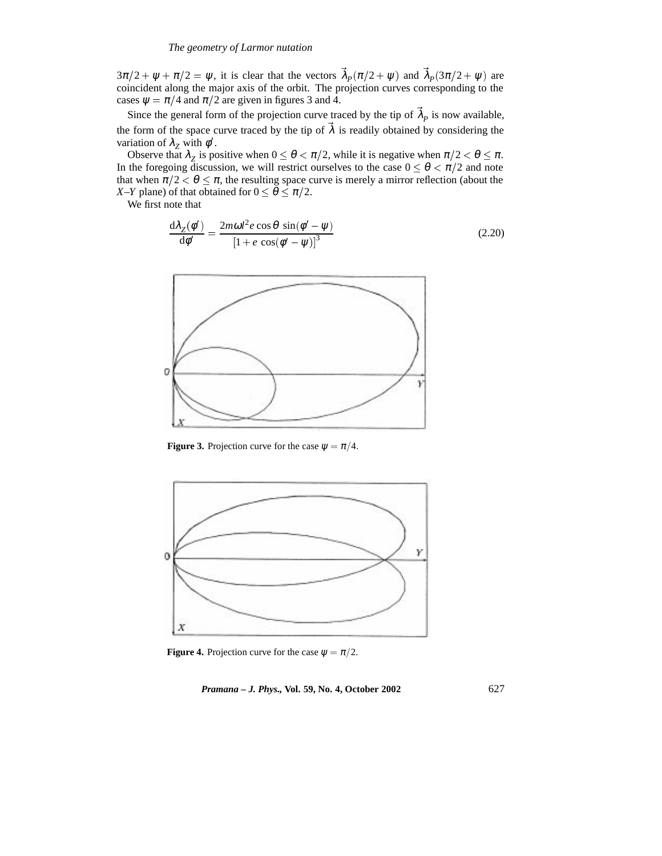$3\pi/2 + \psi + \pi/2 = \psi$ , it is clear that the vectors  $\lambda_p(\pi/2 + \psi)$  and  $\lambda_p(3\pi/2 + \psi)$  are coincident along the major axis of the orbit. The projection curves corresponding to the cases  $\psi = \pi/4$  and  $\pi/2$  are given in figures 3 and 4.

Since the general form of the projection curve traced by the tip of  $\lambda_p$  is now available, the form of the space curve traced by the tip of  $\lambda$  is readily obtained by considering the variation of  $\lambda_z$  with  $\phi'$ .

Observe that  $\lambda_z$  is positive when  $0 \le \theta < \pi/2$ , while it is negative when  $\pi/2 < \theta \le \pi$ . In the foregoing discussion, we will restrict ourselves to the case  $0 \le \theta \le \pi/2$  and note that when  $\pi/2 < \theta \leq \pi$ , the resulting space curve is merely a mirror reflection (about the *X–Y* plane) of that obtained for  $0 \le \theta \le \pi/2$ .

We first note that

$$
\frac{d\lambda_Z(\phi')}{d\phi'} = \frac{2m\omega l^2 e \cos\theta \sin(\phi' - \psi)}{\left[1 + e \cos(\phi' - \psi)\right]^3}
$$
(2.20)



**Figure 3.** Projection curve for the case  $\psi = \pi/4$ .



**Figure 4.** Projection curve for the case  $\psi = \pi/2$ .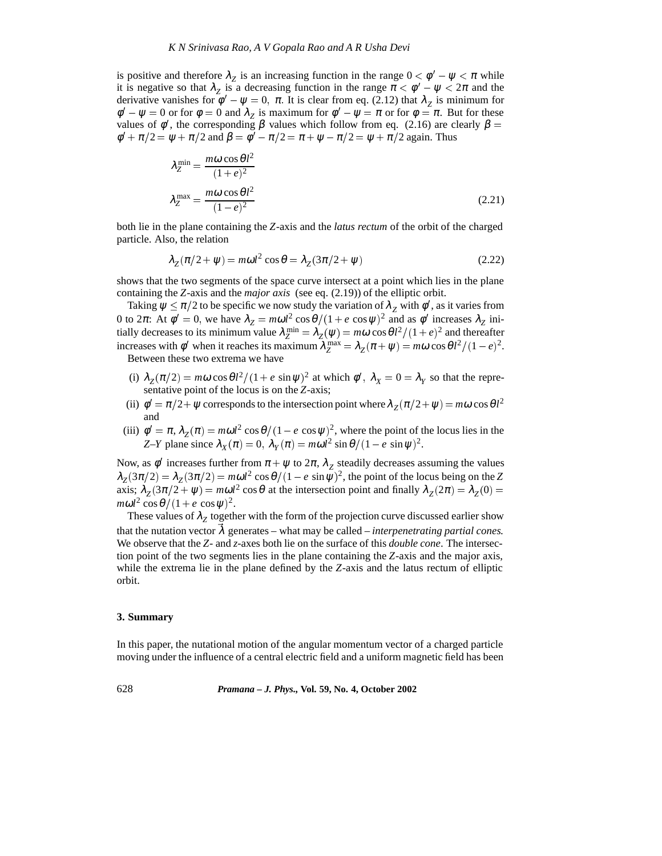is positive and therefore  $\lambda_z$  is an increasing function in the range  $0 < \phi' - \psi < \pi$  while it is negative so that  $\lambda_z$  is a decreasing function in the range  $\pi < \phi' - \psi < 2\pi$  and the derivative vanishes for  $\phi' - \psi = 0$ ,  $\pi$ . It is clear from eq. (2.12) that  $\lambda_z$  is minimum for  $\phi' - \psi = 0$  or for  $\phi = 0$  and  $\lambda_z$  is maximum for  $\phi' - \psi = \pi$  or for  $\phi = \pi$ . But for these values of  $\phi'$ , the corresponding  $\beta$  values which follow from eq. (2.16) are clearly  $\beta =$  $\phi' + \pi/2 = \psi + \pi/2$  and  $\beta = \phi' - \pi/2 = \pi + \psi - \pi/2 = \psi + \pi/2$  again. Thus

$$
\lambda_Z^{\min} = \frac{m\omega \cos \theta l^2}{(1+e)^2}
$$
  

$$
\lambda_Z^{\max} = \frac{m\omega \cos \theta l^2}{(1-e)^2}
$$
 (2.21)

both lie in the plane containing the *Z*-axis and the *latus rectum* of the orbit of the charged particle. Also, the relation

$$
\lambda_Z(\pi/2 + \psi) = m\omega l^2 \cos \theta = \lambda_Z(3\pi/2 + \psi)
$$
\n(2.22)

shows that the two segments of the space curve intersect at a point which lies in the plane containing the *Z*-axis and the *major axis* (see eq. (2.19)) of the elliptic orbit.

Taking  $\psi \le \pi/2$  to be specific we now study the variation of  $\lambda_Z$  with  $\phi'$ , as it varies from 0 to 2π: At  $\phi' = 0$ , we have  $\lambda_Z = m\omega l^2 \cos \theta / (1 + e \cos \psi)^2$  and as  $\phi'$  increases  $\lambda_Z$  initially decreases to its minimum value  $\lambda_Z^{\text{min}} = \lambda_Z(\psi) = m\omega \cos{\theta}l^2/(1+e)^2$  and thereafter increases with  $\phi'$  when it reaches its maximum  $\lambda_Z^{\text{max}} = \lambda_Z(\pi + \psi) = m\omega \cos{\theta}l^2/(1 - e)^2$ . Between these two extrema we have

- (i)  $\lambda_Z(\pi/2) = m\omega \cos{\theta}l^2/(1 + e \sin{\psi})^2$  at which  $\phi'$ ,  $\lambda_X = 0 = \lambda_Y$  so that the representative point of the locus is on the *Z*-axis;
- (ii)  $\phi' = \pi/2 + \psi$  corresponds to the intersection point where  $\lambda_Z(\pi/2 + \psi) = m\omega \cos{\theta l^2}$ and
- (iii)  $\phi' = \pi$ ,  $\lambda_Z(\pi) = m\omega l^2 \cos{\theta} / (1 e \cos{\psi})^2$ , where the point of the locus lies in the *Z*–*Y* plane since  $\lambda_X(\pi) = 0$ ,  $\lambda_Y(\pi) = m\omega l^2 \sin{\theta} / (1 - e \sin{\psi})^2$ .

Now, as  $\phi'$  increases further from  $\pi + \psi$  to  $2\pi$ ,  $\lambda_z$  steadily decreases assuming the values  $\lambda_Z(3\pi/2) = \lambda_Z(3\pi/2) = m\omega l^2 \cos\theta/(1 - e \sin\psi)^2$ , the point of the locus being on the *Z* axis;  $\lambda_Z(3\pi/2 + \psi) = m\omega l^2 \cos\theta$  at the intersection point and finally  $\lambda_Z(2\pi) = \lambda_Z(0) =$  $m\omega l^2 \cos\theta / (1 + e \cos\psi)^2$ .

These values of  $\lambda_z$  together with the form of the projection curve discussed earlier show that the nutation vector  $\lambda$  generates – what may be called – *interpenetrating partial cones*. We observe that the *Z*- and *z*-axes both lie on the surface of this *double cone*. The intersection point of the two segments lies in the plane containing the *Z*-axis and the major axis, while the extrema lie in the plane defined by the *Z*-axis and the latus rectum of elliptic orbit.

#### **3. Summary**

In this paper, the nutational motion of the angular momentum vector of a charged particle moving under the influence of a central electric field and a uniform magnetic field has been